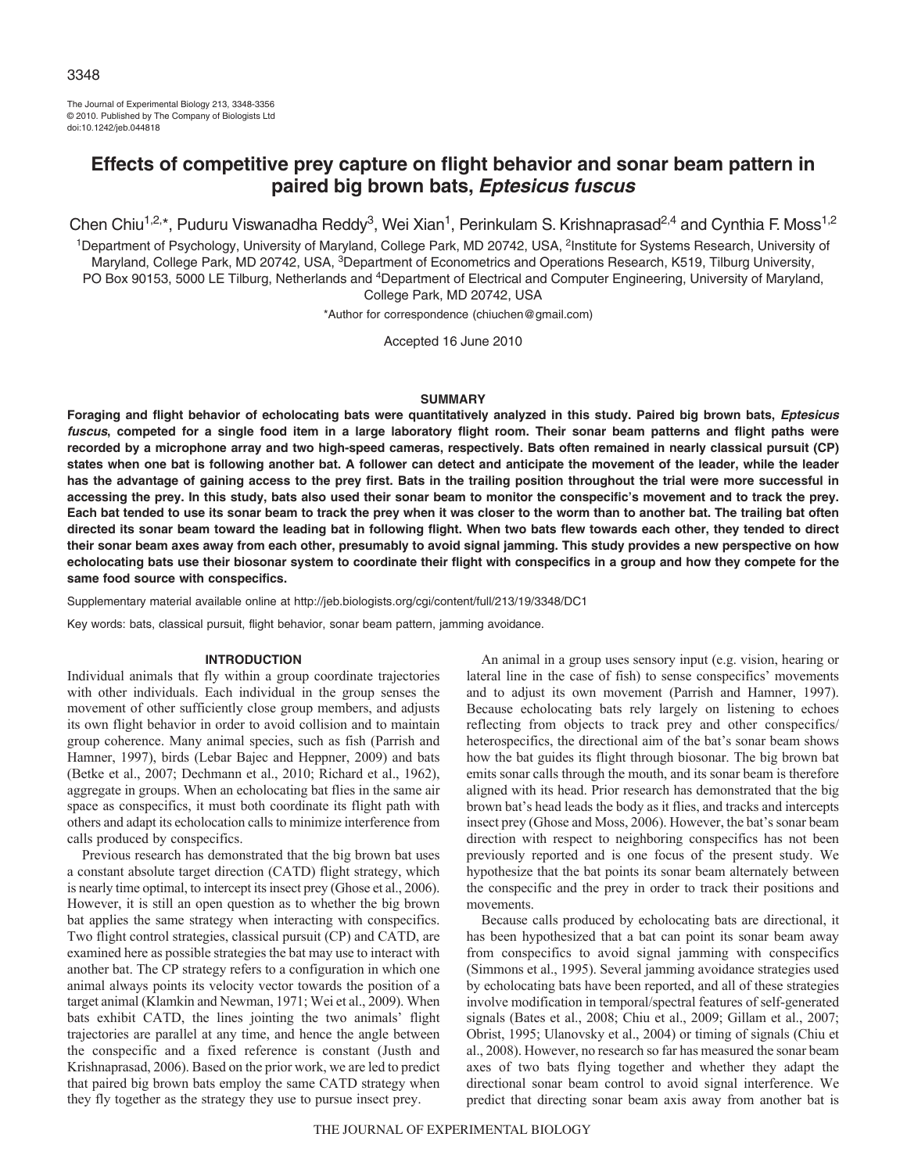The Journal of Experimental Biology 213, 3348-3356 © 2010. Published by The Company of Biologists Ltd doi:10.1242/jeb.044818

# **Effects of competitive prey capture on flight behavior and sonar beam pattern in paired big brown bats, Eptesicus fuscus**

Chen Chiu<sup>1,2,\*</sup>, Puduru Viswanadha Reddy<sup>3</sup>, Wei Xian<sup>1</sup>, Perinkulam S. Krishnaprasad<sup>2,4</sup> and Cynthia F. Moss<sup>1,2</sup>

<sup>1</sup>Department of Psychology, University of Maryland, College Park, MD 20742, USA, <sup>2</sup>Institute for Systems Research, University of Maryland, College Park, MD 20742, USA, <sup>3</sup>Department of Econometrics and Operations Research, K519, Tilburg University, PO Box 90153, 5000 LE Tilburg, Netherlands and <sup>4</sup>Department of Electrical and Computer Engineering, University of Maryland, College Park, MD 20742, USA

\*Author for correspondence (chiuchen@gmail.com)

Accepted 16 June 2010

# **SUMMARY**

**Foraging and flight behavior of echolocating bats were quantitatively analyzed in this study. Paired big brown bats, Eptesicus fuscus, competed for a single food item in a large laboratory flight room. Their sonar beam patterns and flight paths were recorded by a microphone array and two high-speed cameras, respectively. Bats often remained in nearly classical pursuit (CP) states when one bat is following another bat. A follower can detect and anticipate the movement of the leader, while the leader has the advantage of gaining access to the prey first. Bats in the trailing position throughout the trial were more successful in accessing the prey. In this study, bats also used their sonar beam to monitor the conspecific's movement and to track the prey. Each bat tended to use its sonar beam to track the prey when it was closer to the worm than to another bat. The trailing bat often directed its sonar beam toward the leading bat in following flight. When two bats flew towards each other, they tended to direct their sonar beam axes away from each other, presumably to avoid signal jamming. This study provides a new perspective on how echolocating bats use their biosonar system to coordinate their flight with conspecifics in a group and how they compete for the same food source with conspecifics.**

Supplementary material available online at http://jeb.biologists.org/cgi/content/full/213/19/3348/DC1

Key words: bats, classical pursuit, flight behavior, sonar beam pattern, jamming avoidance.

## **INTRODUCTION**

Individual animals that fly within a group coordinate trajectories with other individuals. Each individual in the group senses the movement of other sufficiently close group members, and adjusts its own flight behavior in order to avoid collision and to maintain group coherence. Many animal species, such as fish (Parrish and Hamner, 1997), birds (Lebar Bajec and Heppner, 2009) and bats (Betke et al., 2007; Dechmann et al., 2010; Richard et al., 1962), aggregate in groups. When an echolocating bat flies in the same air space as conspecifics, it must both coordinate its flight path with others and adapt its echolocation calls to minimize interference from calls produced by conspecifics.

Previous research has demonstrated that the big brown bat uses a constant absolute target direction (CATD) flight strategy, which is nearly time optimal, to intercept its insect prey (Ghose et al., 2006). However, it is still an open question as to whether the big brown bat applies the same strategy when interacting with conspecifics. Two flight control strategies, classical pursuit (CP) and CATD, are examined here as possible strategies the bat may use to interact with another bat. The CP strategy refers to a configuration in which one animal always points its velocity vector towards the position of a target animal (Klamkin and Newman, 1971; Wei et al., 2009). When bats exhibit CATD, the lines jointing the two animals' flight trajectories are parallel at any time, and hence the angle between the conspecific and a fixed reference is constant (Justh and Krishnaprasad, 2006). Based on the prior work, we are led to predict that paired big brown bats employ the same CATD strategy when they fly together as the strategy they use to pursue insect prey.

An animal in a group uses sensory input (e.g. vision, hearing or lateral line in the case of fish) to sense conspecifics' movements and to adjust its own movement (Parrish and Hamner, 1997). Because echolocating bats rely largely on listening to echoes reflecting from objects to track prey and other conspecifics/ heterospecifics, the directional aim of the bat's sonar beam shows how the bat guides its flight through biosonar. The big brown bat emits sonar calls through the mouth, and its sonar beam is therefore aligned with its head. Prior research has demonstrated that the big brown bat's head leads the body as it flies, and tracks and intercepts insect prey (Ghose and Moss, 2006). However, the bat's sonar beam direction with respect to neighboring conspecifics has not been previously reported and is one focus of the present study. We hypothesize that the bat points its sonar beam alternately between the conspecific and the prey in order to track their positions and movements.

Because calls produced by echolocating bats are directional, it has been hypothesized that a bat can point its sonar beam away from conspecifics to avoid signal jamming with conspecifics (Simmons et al., 1995). Several jamming avoidance strategies used by echolocating bats have been reported, and all of these strategies involve modification in temporal/spectral features of self-generated signals (Bates et al., 2008; Chiu et al., 2009; Gillam et al., 2007; Obrist, 1995; Ulanovsky et al., 2004) or timing of signals (Chiu et al., 2008). However, no research so far has measured the sonar beam axes of two bats flying together and whether they adapt the directional sonar beam control to avoid signal interference. We predict that directing sonar beam axis away from another bat is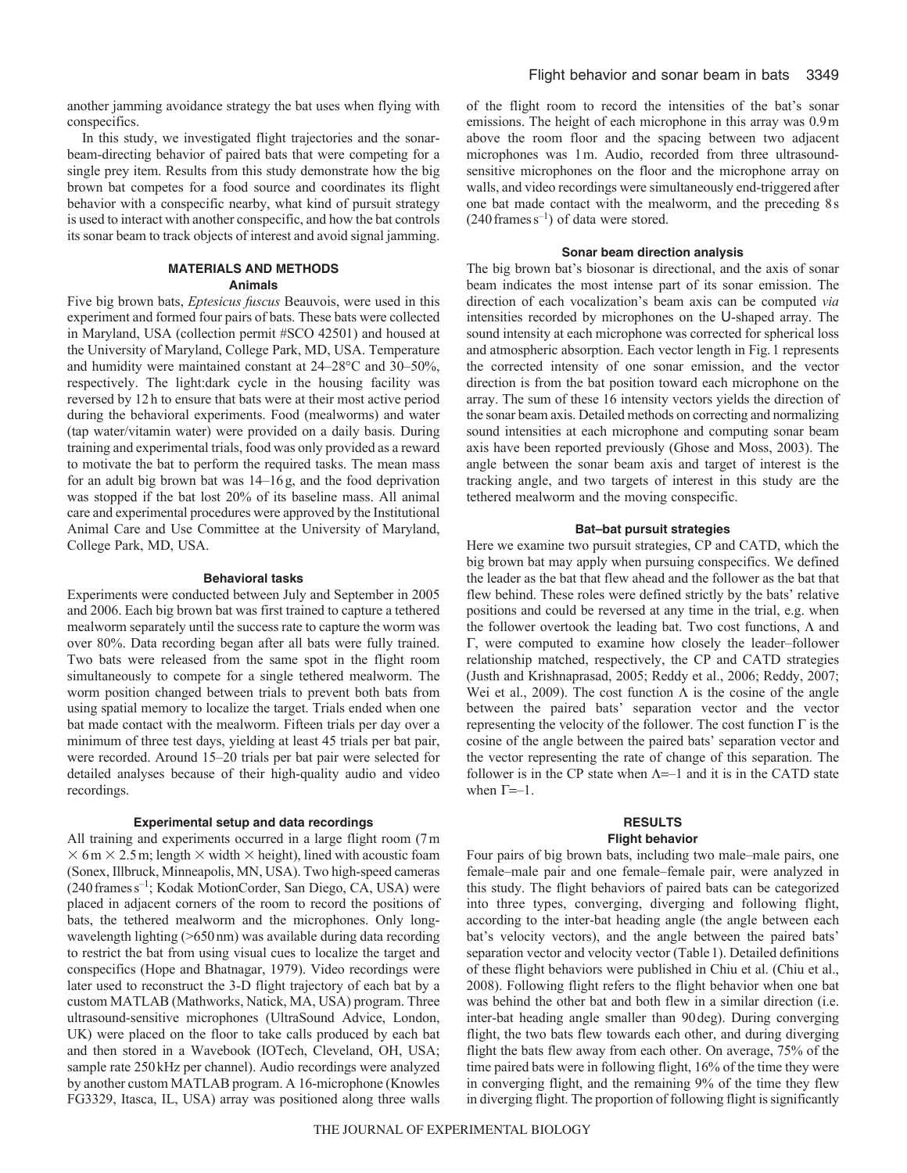In this study, we investigated flight trajectories and the sonarbeam-directing behavior of paired bats that were competing for a single prey item. Results from this study demonstrate how the big brown bat competes for a food source and coordinates its flight behavior with a conspecific nearby, what kind of pursuit strategy is used to interact with another conspecific, and how the bat controls its sonar beam to track objects of interest and avoid signal jamming.

# **MATERIALS AND METHODS Animals**

Five big brown bats, *Eptesicus fuscus* Beauvois, were used in this experiment and formed four pairs of bats. These bats were collected in Maryland, USA (collection permit #SCO 42501) and housed at the University of Maryland, College Park, MD, USA. Temperature and humidity were maintained constant at 24–28°C and 30–50%, respectively. The light:dark cycle in the housing facility was reversed by 12h to ensure that bats were at their most active period during the behavioral experiments. Food (mealworms) and water (tap water/vitamin water) were provided on a daily basis. During training and experimental trials, food was only provided as a reward to motivate the bat to perform the required tasks. The mean mass for an adult big brown bat was 14–16g, and the food deprivation was stopped if the bat lost 20% of its baseline mass. All animal care and experimental procedures were approved by the Institutional Animal Care and Use Committee at the University of Maryland, College Park, MD, USA.

## **Behavioral tasks**

Experiments were conducted between July and September in 2005 and 2006. Each big brown bat was first trained to capture a tethered mealworm separately until the success rate to capture the worm was over 80%. Data recording began after all bats were fully trained. Two bats were released from the same spot in the flight room simultaneously to compete for a single tethered mealworm. The worm position changed between trials to prevent both bats from using spatial memory to localize the target. Trials ended when one bat made contact with the mealworm. Fifteen trials per day over a minimum of three test days, yielding at least 45 trials per bat pair, were recorded. Around 15–20 trials per bat pair were selected for detailed analyses because of their high-quality audio and video recordings.

# **Experimental setup and data recordings**

All training and experiments occurred in a large flight room (7m  $\times$  6 m  $\times$  2.5 m; length  $\times$  width  $\times$  height), lined with acoustic foam (Sonex, Illbruck, Minneapolis, MN, USA). Two high-speed cameras (240 frames s<sup>-1</sup>; Kodak MotionCorder, San Diego, CA, USA) were placed in adjacent corners of the room to record the positions of bats, the tethered mealworm and the microphones. Only longwavelength lighting (>650nm) was available during data recording to restrict the bat from using visual cues to localize the target and conspecifics (Hope and Bhatnagar, 1979). Video recordings were later used to reconstruct the 3-D flight trajectory of each bat by a custom MATLAB (Mathworks, Natick, MA, USA) program. Three ultrasound-sensitive microphones (UltraSound Advice, London, UK) were placed on the floor to take calls produced by each bat and then stored in a Wavebook (IOTech, Cleveland, OH, USA; sample rate 250kHz per channel). Audio recordings were analyzed by another custom MATLAB program. A 16-microphone (Knowles FG3329, Itasca, IL, USA) array was positioned along three walls

of the flight room to record the intensities of the bat's sonar emissions. The height of each microphone in this array was 0.9m above the room floor and the spacing between two adjacent microphones was 1m. Audio, recorded from three ultrasoundsensitive microphones on the floor and the microphone array on walls, and video recordings were simultaneously end-triggered after one bat made contact with the mealworm, and the preceding 8s  $(240$  frames s<sup>-1</sup>) of data were stored.

## **Sonar beam direction analysis**

The big brown bat's biosonar is directional, and the axis of sonar beam indicates the most intense part of its sonar emission. The direction of each vocalization's beam axis can be computed *via* intensities recorded by microphones on the U-shaped array. The sound intensity at each microphone was corrected for spherical loss and atmospheric absorption. Each vector length in Fig.1 represents the corrected intensity of one sonar emission, and the vector direction is from the bat position toward each microphone on the array. The sum of these 16 intensity vectors yields the direction of the sonar beam axis. Detailed methods on correcting and normalizing sound intensities at each microphone and computing sonar beam axis have been reported previously (Ghose and Moss, 2003). The angle between the sonar beam axis and target of interest is the tracking angle, and two targets of interest in this study are the tethered mealworm and the moving conspecific.

#### **Bat–bat pursuit strategies**

Here we examine two pursuit strategies, CP and CATD, which the big brown bat may apply when pursuing conspecifics. We defined the leader as the bat that flew ahead and the follower as the bat that flew behind. These roles were defined strictly by the bats' relative positions and could be reversed at any time in the trial, e.g. when the follower overtook the leading bat. Two cost functions,  $\Lambda$  and , were computed to examine how closely the leader–follower relationship matched, respectively, the CP and CATD strategies (Justh and Krishnaprasad, 2005; Reddy et al., 2006; Reddy, 2007; Wei et al., 2009). The cost function  $\Lambda$  is the cosine of the angle between the paired bats' separation vector and the vector representing the velocity of the follower. The cost function  $\Gamma$  is the cosine of the angle between the paired bats' separation vector and the vector representing the rate of change of this separation. The follower is in the CP state when  $\Lambda$ =-1 and it is in the CATD state when  $\Gamma = -1$ .

# **RESULTS Flight behavior**

Four pairs of big brown bats, including two male–male pairs, one female–male pair and one female–female pair, were analyzed in this study. The flight behaviors of paired bats can be categorized into three types, converging, diverging and following flight, according to the inter-bat heading angle (the angle between each bat's velocity vectors), and the angle between the paired bats' separation vector and velocity vector (Table 1). Detailed definitions of these flight behaviors were published in Chiu et al. (Chiu et al., 2008). Following flight refers to the flight behavior when one bat was behind the other bat and both flew in a similar direction (i.e. inter-bat heading angle smaller than 90deg). During converging flight, the two bats flew towards each other, and during diverging flight the bats flew away from each other. On average, 75% of the time paired bats were in following flight, 16% of the time they were in converging flight, and the remaining 9% of the time they flew in diverging flight. The proportion of following flight is significantly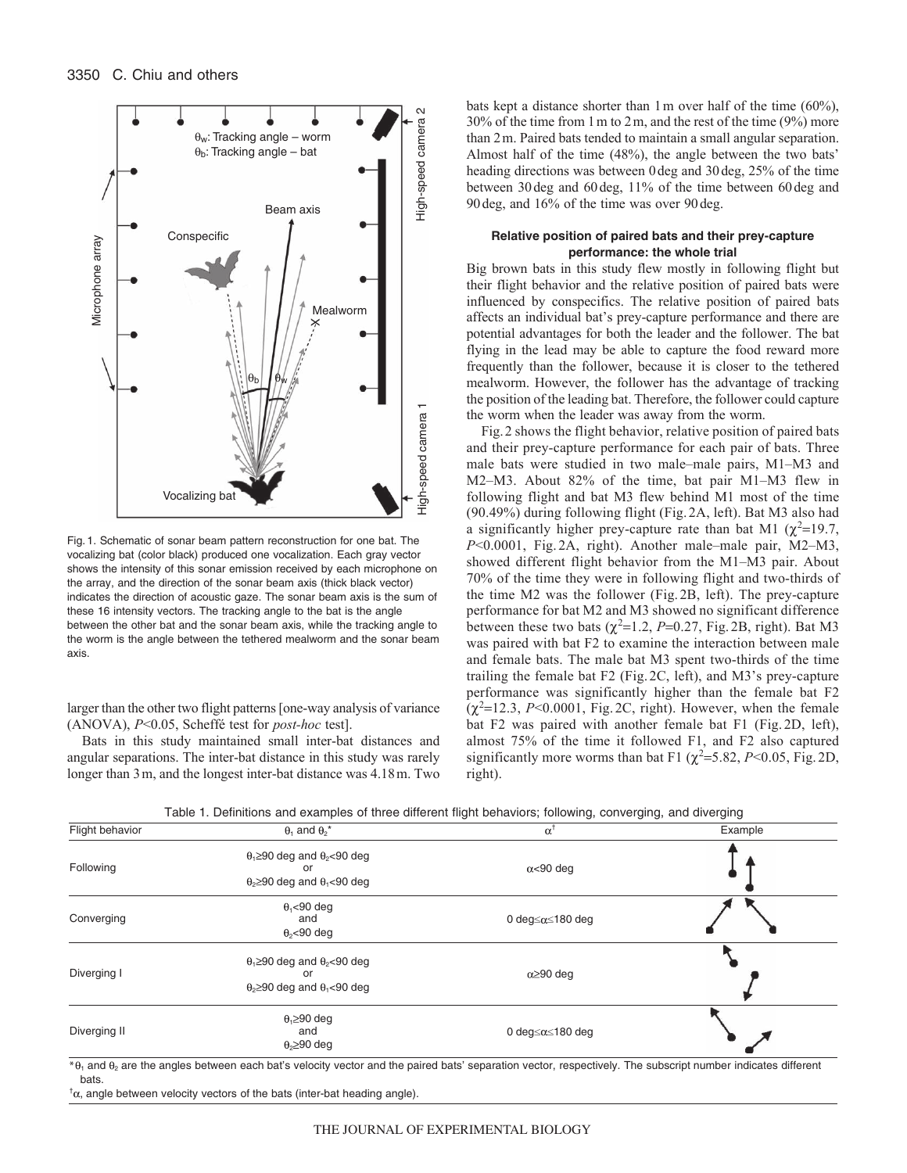

Fig. 1. Schematic of sonar beam pattern reconstruction for one bat. The vocalizing bat (color black) produced one vocalization. Each gray vector shows the intensity of this sonar emission received by each microphone on the array, and the direction of the sonar beam axis (thick black vector) indicates the direction of acoustic gaze. The sonar beam axis is the sum of these 16 intensity vectors. The tracking angle to the bat is the angle between the other bat and the sonar beam axis, while the tracking angle to the worm is the angle between the tethered mealworm and the sonar beam axis.

larger than the other two flight patterns [one-way analysis of variance (ANOVA), *P*<0.05, Scheffé test for *post-hoc* test].

Bats in this study maintained small inter-bat distances and angular separations. The inter-bat distance in this study was rarely longer than 3m, and the longest inter-bat distance was 4.18m. Two bats kept a distance shorter than 1m over half of the time (60%), 30% of the time from 1m to 2m, and the rest of the time (9%) more than 2m. Paired bats tended to maintain a small angular separation. Almost half of the time (48%), the angle between the two bats' heading directions was between 0deg and 30deg, 25% of the time between 30deg and 60deg, 11% of the time between 60deg and 90deg, and 16% of the time was over 90deg.

## **Relative position of paired bats and their prey-capture performance: the whole trial**

Big brown bats in this study flew mostly in following flight but their flight behavior and the relative position of paired bats were influenced by conspecifics. The relative position of paired bats affects an individual bat's prey-capture performance and there are potential advantages for both the leader and the follower. The bat flying in the lead may be able to capture the food reward more frequently than the follower, because it is closer to the tethered mealworm. However, the follower has the advantage of tracking the position of the leading bat. Therefore, the follower could capture the worm when the leader was away from the worm.

Fig.2 shows the flight behavior, relative position of paired bats and their prey-capture performance for each pair of bats. Three male bats were studied in two male–male pairs, M1–M3 and M2–M3. About 82% of the time, bat pair M1–M3 flew in following flight and bat M3 flew behind M1 most of the time (90.49%) during following flight (Fig. 2A, left). Bat M3 also had a significantly higher prey-capture rate than bat M1 ( $\chi^2$ =19.7, *P*<0.0001, Fig. 2A, right). Another male–male pair, M2–M3, showed different flight behavior from the M1–M3 pair. About 70% of the time they were in following flight and two-thirds of the time M2 was the follower (Fig. 2B, left). The prey-capture performance for bat M2 and M3 showed no significant difference between these two bats  $(\chi^2=1.2, P=0.27, Fig. 2B, right)$ . Bat M3 was paired with bat F2 to examine the interaction between male and female bats. The male bat M3 spent two-thirds of the time trailing the female bat F2 (Fig. 2C, left), and M3's prey-capture performance was significantly higher than the female bat F2  $(\chi^2=12.3, P<0.0001,$  Fig. 2C, right). However, when the female bat F2 was paired with another female bat F1 (Fig. 2D, left), almost 75% of the time it followed F1, and F2 also captured significantly more worms than bat F1  $(\chi^2 = 5.82, P < 0.05,$  Fig. 2D, right).

| $\theta_1$ and $\theta_2^*$                                                                                                   | $\alpha^{\dagger}$               | Example |
|-------------------------------------------------------------------------------------------------------------------------------|----------------------------------|---------|
| $\theta$ <sub>1</sub> $\geq$ 90 deg and $\theta$ <sub>2</sub> < 90 deg<br>or<br>$\theta_2 \ge 90$ deg and $\theta_1 < 90$ deg | $\alpha$ <90 deg                 |         |
| $\theta_1$ <90 deg<br>and<br>$\theta$ <sub>2</sub> <90 deg                                                                    | 0 deg $\leq \alpha \leq 180$ deg |         |
| $\theta$ <sub>1</sub> $\geq$ 90 deg and $\theta$ <sub>2</sub> < 90 deg<br>or<br>$\theta_2 \ge 90$ deg and $\theta_1 < 90$ deg | $\alpha \geq 90$ deg             |         |
| $\theta$ <sub>290</sub> deg<br>and<br>$\theta_{2} \geq 90$ deg                                                                | 0 deg $\leq \alpha \leq 180$ deg |         |
|                                                                                                                               |                                  |         |

Table 1. Definitions and examples of three different flight behaviors; following, converging, and diverging

 $* \theta_1$  and  $\theta_2$  are the angles between each bat's velocity vector and the paired bats' separation vector, respectively. The subscript number indicates different bats.

 $^\dagger$  $\alpha$ , angle between velocity vectors of the bats (inter-bat heading angle).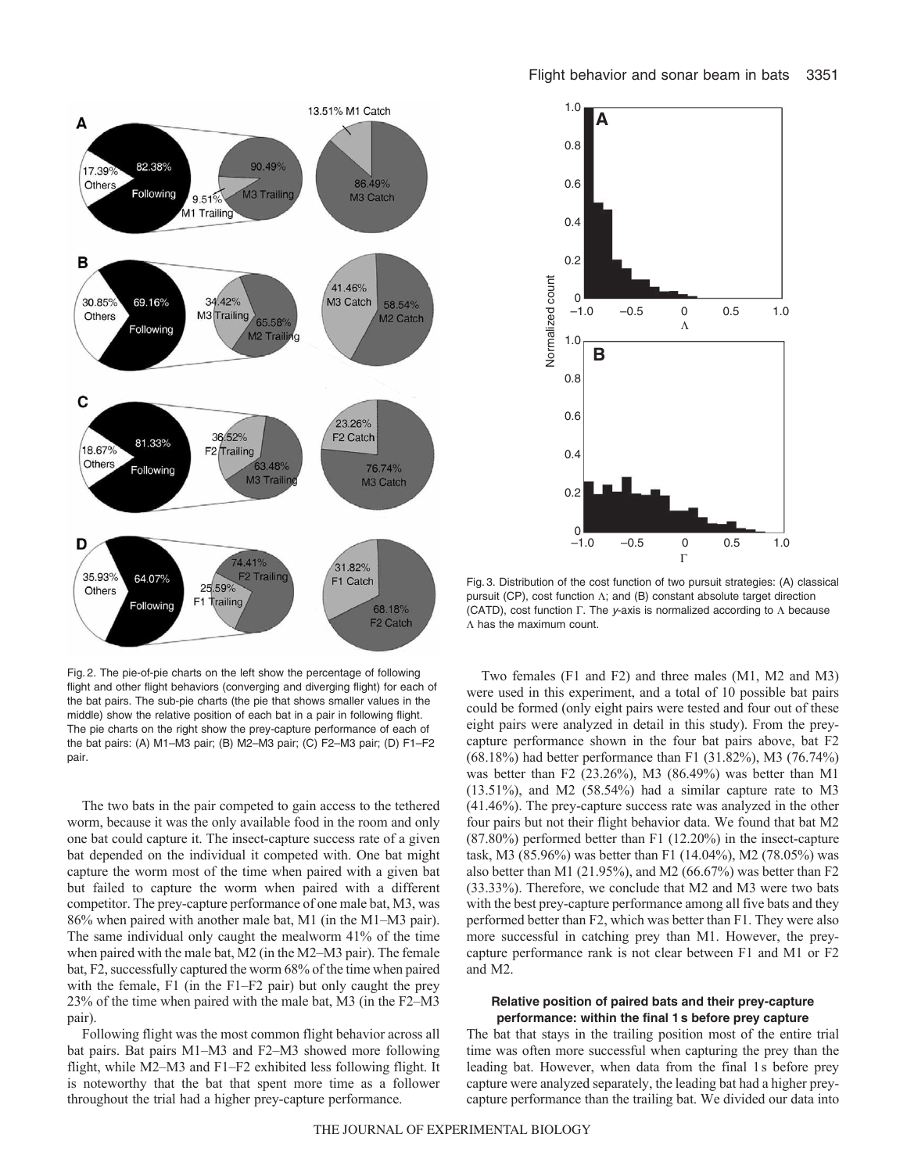



Fig. 2. The pie-of-pie charts on the left show the percentage of following flight and other flight behaviors (converging and diverging flight) for each of the bat pairs. The sub-pie charts (the pie that shows smaller values in the middle) show the relative position of each bat in a pair in following flight. The pie charts on the right show the prey-capture performance of each of the bat pairs: (A) M1–M3 pair; (B) M2–M3 pair; (C) F2–M3 pair; (D) F1–F2 pair.

The two bats in the pair competed to gain access to the tethered worm, because it was the only available food in the room and only one bat could capture it. The insect-capture success rate of a given bat depended on the individual it competed with. One bat might capture the worm most of the time when paired with a given bat but failed to capture the worm when paired with a different competitor. The prey-capture performance of one male bat, M3, was 86% when paired with another male bat, M1 (in the M1–M3 pair). The same individual only caught the mealworm 41% of the time when paired with the male bat, M2 (in the M2–M3 pair). The female bat, F2, successfully captured the worm 68% of the time when paired with the female, F1 (in the F1–F2 pair) but only caught the prey 23% of the time when paired with the male bat, M3 (in the F2–M3 pair).

Following flight was the most common flight behavior across all bat pairs. Bat pairs M1–M3 and F2–M3 showed more following flight, while M2–M3 and F1–F2 exhibited less following flight. It is noteworthy that the bat that spent more time as a follower throughout the trial had a higher prey-capture performance.



Fig. 3. Distribution of the cost function of two pursuit strategies: (A) classical pursuit (CP), cost function  $\Lambda$ ; and (B) constant absolute target direction (CATD), cost function  $\Gamma$ . The y-axis is normalized according to  $\Lambda$  because  $\Lambda$  has the maximum count.

Two females (F1 and F2) and three males (M1, M2 and M3) were used in this experiment, and a total of 10 possible bat pairs could be formed (only eight pairs were tested and four out of these eight pairs were analyzed in detail in this study). From the preycapture performance shown in the four bat pairs above, bat F2 (68.18%) had better performance than F1 (31.82%), M3 (76.74%) was better than F2 (23.26%), M3 (86.49%) was better than M1  $(13.51\%)$ , and M2  $(58.54\%)$  had a similar capture rate to M3 (41.46%). The prey-capture success rate was analyzed in the other four pairs but not their flight behavior data. We found that bat M2 (87.80%) performed better than F1 (12.20%) in the insect-capture task, M3 (85.96%) was better than F1 (14.04%), M2 (78.05%) was also better than M1 (21.95%), and M2 (66.67%) was better than F2 (33.33%). Therefore, we conclude that M2 and M3 were two bats with the best prey-capture performance among all five bats and they performed better than F2, which was better than F1. They were also more successful in catching prey than M1. However, the preycapture performance rank is not clear between F1 and M1 or F2 and M2.

# **Relative position of paired bats and their prey-capture performance: within the final 1s before prey capture**

The bat that stays in the trailing position most of the entire trial time was often more successful when capturing the prey than the leading bat. However, when data from the final 1s before prey capture were analyzed separately, the leading bat had a higher preycapture performance than the trailing bat. We divided our data into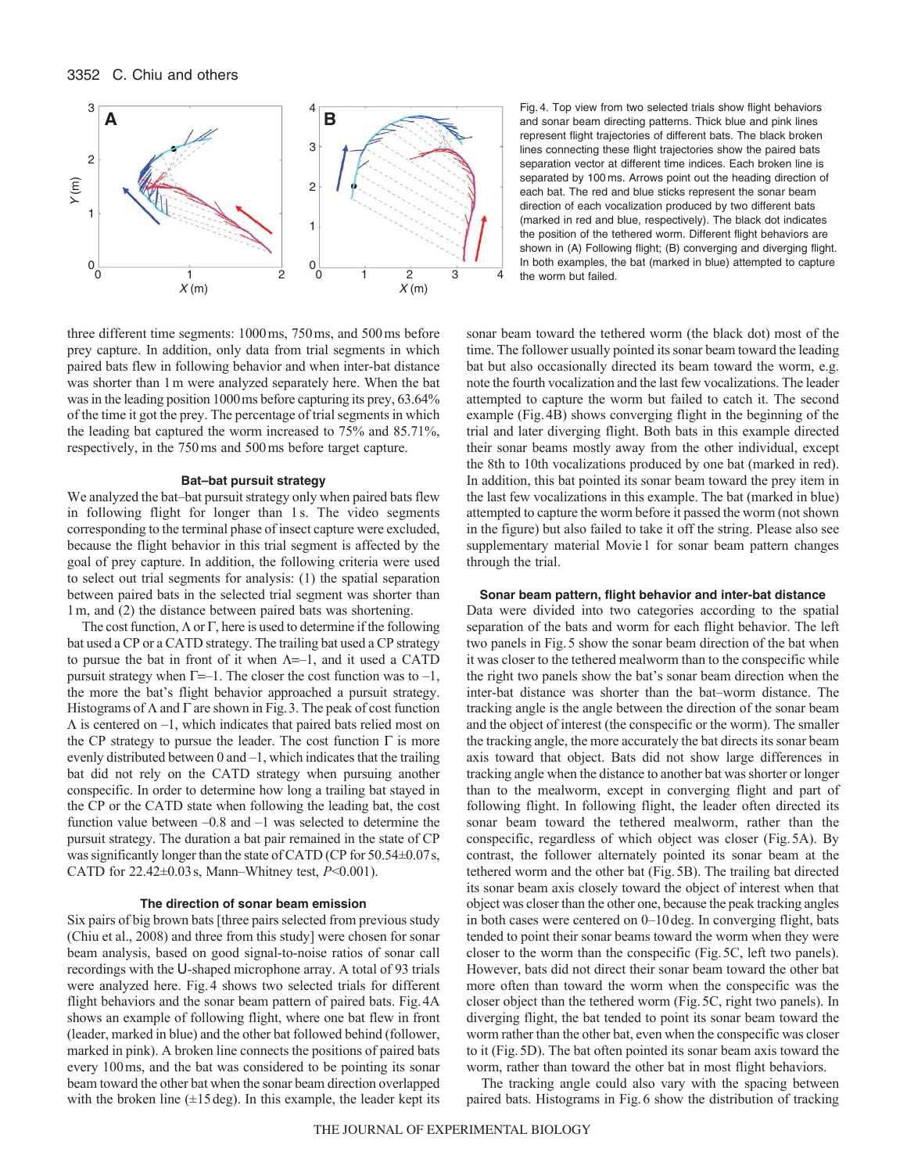

three different time segments: 1000ms, 750ms, and 500ms before prey capture. In addition, only data from trial segments in which paired bats flew in following behavior and when inter-bat distance was shorter than 1m were analyzed separately here. When the bat was in the leading position 1000ms before capturing its prey, 63.64% of the time it got the prey. The percentage of trial segments in which the leading bat captured the worm increased to 75% and 85.71%, respectively, in the 750ms and 500ms before target capture.

# **Bat–bat pursuit strategy**

We analyzed the bat–bat pursuit strategy only when paired bats flew in following flight for longer than 1 s. The video segments corresponding to the terminal phase of insect capture were excluded, because the flight behavior in this trial segment is affected by the goal of prey capture. In addition, the following criteria were used to select out trial segments for analysis: (1) the spatial separation between paired bats in the selected trial segment was shorter than 1m, and (2) the distance between paired bats was shortening.

The cost function,  $\Lambda$  or  $\Gamma$ , here is used to determine if the following bat used a CP or a CATD strategy. The trailing bat used a CP strategy to pursue the bat in front of it when  $\Lambda = -1$ , and it used a CATD pursuit strategy when  $\Gamma = -1$ . The closer the cost function was to  $-1$ , the more the bat's flight behavior approached a pursuit strategy. Histograms of  $\Lambda$  and  $\Gamma$  are shown in Fig. 3. The peak of cost function  $\Lambda$  is centered on  $-1$ , which indicates that paired bats relied most on the CP strategy to pursue the leader. The cost function  $\Gamma$  is more evenly distributed between 0 and –1, which indicates that the trailing bat did not rely on the CATD strategy when pursuing another conspecific. In order to determine how long a trailing bat stayed in the CP or the CATD state when following the leading bat, the cost function value between –0.8 and –1 was selected to determine the pursuit strategy. The duration a bat pair remained in the state of CP was significantly longer than the state of CATD (CP for 50.54±0.07s, CATD for 22.42±0.03s, Mann–Whitney test, *P*<0.001).

# **The direction of sonar beam emission**

Six pairs of big brown bats [three pairs selected from previous study (Chiu et al., 2008) and three from this study] were chosen for sonar beam analysis, based on good signal-to-noise ratios of sonar call recordings with the U-shaped microphone array. A total of 93 trials were analyzed here. Fig.4 shows two selected trials for different flight behaviors and the sonar beam pattern of paired bats. Fig.4A shows an example of following flight, where one bat flew in front (leader, marked in blue) and the other bat followed behind (follower, marked in pink). A broken line connects the positions of paired bats every 100ms, and the bat was considered to be pointing its sonar beam toward the other bat when the sonar beam direction overlapped with the broken line  $(\pm 15 \deg)$ . In this example, the leader kept its

Fig. 4. Top view from two selected trials show flight behaviors and sonar beam directing patterns. Thick blue and pink lines represent flight trajectories of different bats. The black broken lines connecting these flight trajectories show the paired bats separation vector at different time indices. Each broken line is separated by 100 ms. Arrows point out the heading direction of each bat. The red and blue sticks represent the sonar beam direction of each vocalization produced by two different bats (marked in red and blue, respectively). The black dot indicates the position of the tethered worm. Different flight behaviors are shown in (A) Following flight; (B) converging and diverging flight. In both examples, the bat (marked in blue) attempted to capture the worm but failed.

sonar beam toward the tethered worm (the black dot) most of the time. The follower usually pointed its sonar beam toward the leading bat but also occasionally directed its beam toward the worm, e.g. note the fourth vocalization and the last few vocalizations. The leader attempted to capture the worm but failed to catch it. The second example (Fig.4B) shows converging flight in the beginning of the trial and later diverging flight. Both bats in this example directed their sonar beams mostly away from the other individual, except the 8th to 10th vocalizations produced by one bat (marked in red). In addition, this bat pointed its sonar beam toward the prey item in the last few vocalizations in this example. The bat (marked in blue) attempted to capture the worm before it passed the worm (not shown in the figure) but also failed to take it off the string. Please also see supplementary material Movie1 for sonar beam pattern changes through the trial.

#### **Sonar beam pattern, flight behavior and inter-bat distance**

Data were divided into two categories according to the spatial separation of the bats and worm for each flight behavior. The left two panels in Fig.5 show the sonar beam direction of the bat when it was closer to the tethered mealworm than to the conspecific while the right two panels show the bat's sonar beam direction when the inter-bat distance was shorter than the bat–worm distance. The tracking angle is the angle between the direction of the sonar beam and the object of interest (the conspecific or the worm). The smaller the tracking angle, the more accurately the bat directs its sonar beam axis toward that object. Bats did not show large differences in tracking angle when the distance to another bat was shorter or longer than to the mealworm, except in converging flight and part of following flight. In following flight, the leader often directed its sonar beam toward the tethered mealworm, rather than the conspecific, regardless of which object was closer (Fig.5A). By contrast, the follower alternately pointed its sonar beam at the tethered worm and the other bat (Fig.5B). The trailing bat directed its sonar beam axis closely toward the object of interest when that object was closer than the other one, because the peak tracking angles in both cases were centered on 0–10deg. In converging flight, bats tended to point their sonar beams toward the worm when they were closer to the worm than the conspecific (Fig.5C, left two panels). However, bats did not direct their sonar beam toward the other bat more often than toward the worm when the conspecific was the closer object than the tethered worm (Fig.5C, right two panels). In diverging flight, the bat tended to point its sonar beam toward the worm rather than the other bat, even when the conspecific was closer to it (Fig.5D). The bat often pointed its sonar beam axis toward the worm, rather than toward the other bat in most flight behaviors.

The tracking angle could also vary with the spacing between paired bats. Histograms in Fig.6 show the distribution of tracking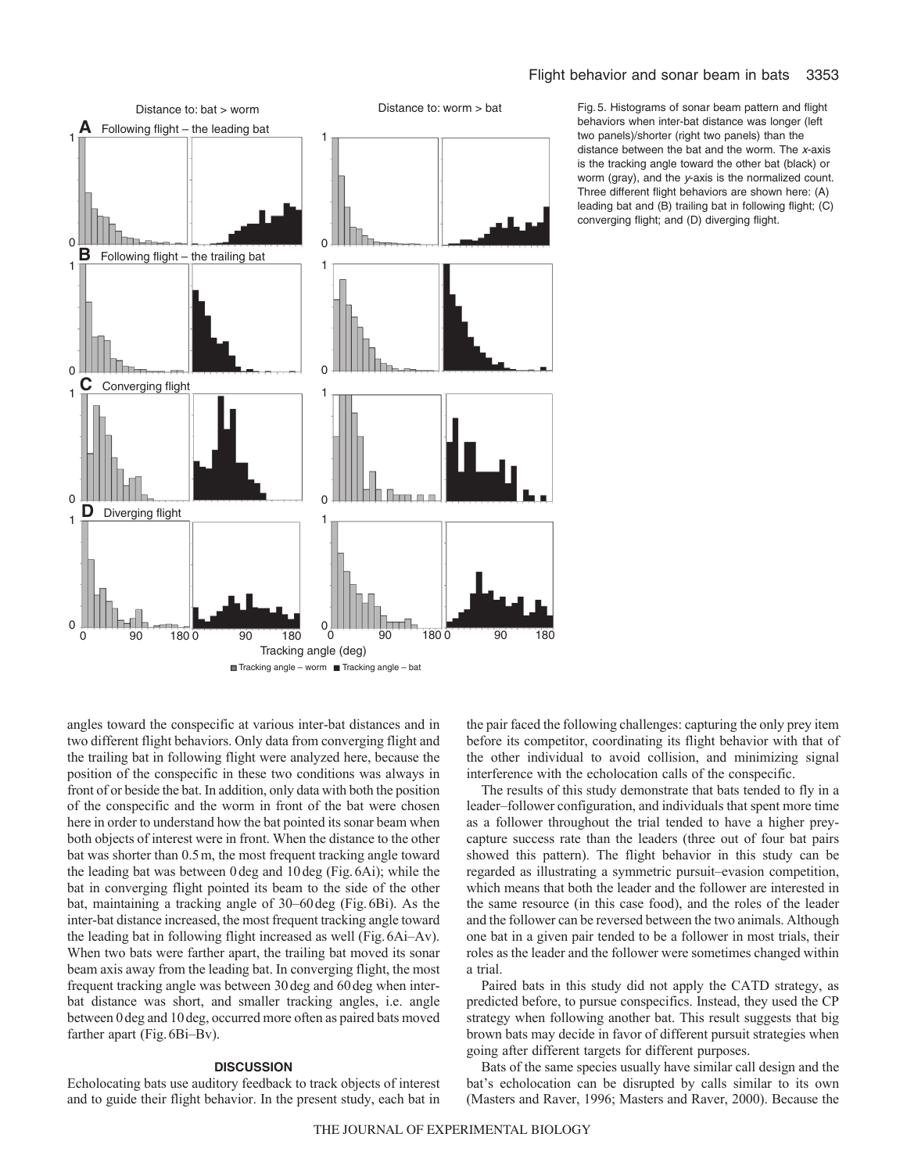## Flight behavior and sonar beam in bats 3353



Fig. 5. Histograms of sonar beam pattern and flight behaviors when inter-bat distance was longer (left two panels)/shorter (right two panels) than the distance between the bat and the worm. The x-axis is the tracking angle toward the other bat (black) or worm (gray), and the y-axis is the normalized count. Three different flight behaviors are shown here: (A) leading bat and (B) trailing bat in following flight; (C) converging flight; and (D) diverging flight.

angles toward the conspecific at various inter-bat distances and in two different flight behaviors. Only data from converging flight and the trailing bat in following flight were analyzed here, because the position of the conspecific in these two conditions was always in front of or beside the bat. In addition, only data with both the position of the conspecific and the worm in front of the bat were chosen here in order to understand how the bat pointed its sonar beam when both objects of interest were in front. When the distance to the other bat was shorter than 0.5m, the most frequent tracking angle toward the leading bat was between 0deg and 10deg (Fig.6Ai); while the bat in converging flight pointed its beam to the side of the other bat, maintaining a tracking angle of 30–60deg (Fig.6Bi). As the inter-bat distance increased, the most frequent tracking angle toward the leading bat in following flight increased as well (Fig.6Ai–Av). When two bats were farther apart, the trailing bat moved its sonar beam axis away from the leading bat. In converging flight, the most frequent tracking angle was between 30deg and 60deg when interbat distance was short, and smaller tracking angles, i.e. angle between 0deg and 10deg, occurred more often as paired bats moved farther apart (Fig. 6Bi–Bv).

# **DISCUSSION**

Echolocating bats use auditory feedback to track objects of interest and to guide their flight behavior. In the present study, each bat in the pair faced the following challenges: capturing the only prey item before its competitor, coordinating its flight behavior with that of the other individual to avoid collision, and minimizing signal interference with the echolocation calls of the conspecific.

The results of this study demonstrate that bats tended to fly in a leader–follower configuration, and individuals that spent more time as a follower throughout the trial tended to have a higher preycapture success rate than the leaders (three out of four bat pairs showed this pattern). The flight behavior in this study can be regarded as illustrating a symmetric pursuit–evasion competition, which means that both the leader and the follower are interested in the same resource (in this case food), and the roles of the leader and the follower can be reversed between the two animals. Although one bat in a given pair tended to be a follower in most trials, their roles as the leader and the follower were sometimes changed within a trial.

Paired bats in this study did not apply the CATD strategy, as predicted before, to pursue conspecifics. Instead, they used the CP strategy when following another bat. This result suggests that big brown bats may decide in favor of different pursuit strategies when going after different targets for different purposes.

Bats of the same species usually have similar call design and the bat's echolocation can be disrupted by calls similar to its own (Masters and Raver, 1996; Masters and Raver, 2000). Because the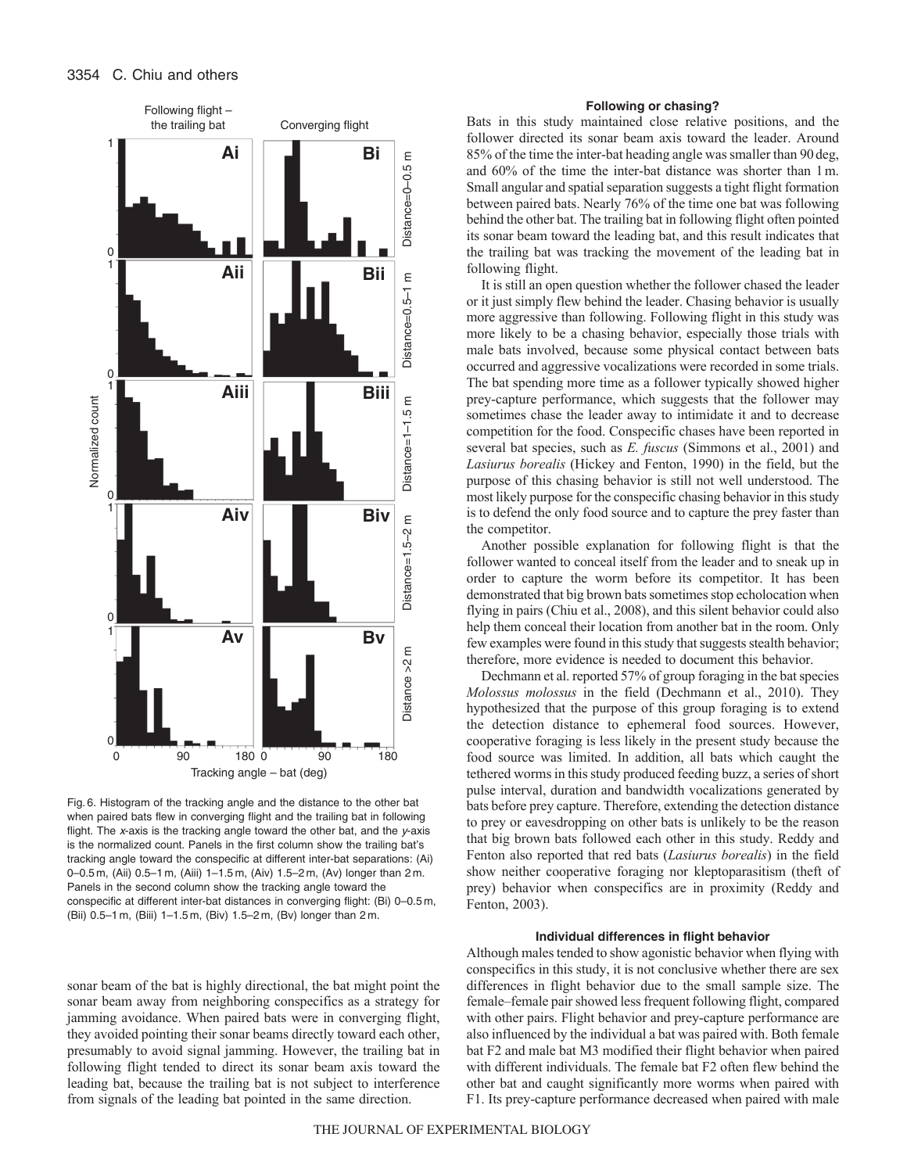

Fig. 6. Histogram of the tracking angle and the distance to the other bat when paired bats flew in converging flight and the trailing bat in following flight. The x-axis is the tracking angle toward the other bat, and the y-axis is the normalized count. Panels in the first column show the trailing bat's tracking angle toward the conspecific at different inter-bat separations: (Ai) 0–0.5 m, (Aii) 0.5–1 m, (Aiii) 1–1.5 m, (Aiv) 1.5–2 m, (Av) longer than 2 m. Panels in the second column show the tracking angle toward the conspecific at different inter-bat distances in converging flight: (Bi) 0–0.5 m, (Bii) 0.5–1 m, (Biii) 1–1.5 m, (Biv) 1.5–2 m, (Bv) longer than 2 m.

sonar beam of the bat is highly directional, the bat might point the sonar beam away from neighboring conspecifics as a strategy for jamming avoidance. When paired bats were in converging flight, they avoided pointing their sonar beams directly toward each other, presumably to avoid signal jamming. However, the trailing bat in following flight tended to direct its sonar beam axis toward the leading bat, because the trailing bat is not subject to interference from signals of the leading bat pointed in the same direction.

# **Following or chasing?**

Bats in this study maintained close relative positions, and the follower directed its sonar beam axis toward the leader. Around 85% of the time the inter-bat heading angle was smaller than 90deg, and 60% of the time the inter-bat distance was shorter than 1m. Small angular and spatial separation suggests a tight flight formation between paired bats. Nearly 76% of the time one bat was following behind the other bat. The trailing bat in following flight often pointed its sonar beam toward the leading bat, and this result indicates that the trailing bat was tracking the movement of the leading bat in following flight.

It is still an open question whether the follower chased the leader or it just simply flew behind the leader. Chasing behavior is usually more aggressive than following. Following flight in this study was more likely to be a chasing behavior, especially those trials with male bats involved, because some physical contact between bats occurred and aggressive vocalizations were recorded in some trials. The bat spending more time as a follower typically showed higher prey-capture performance, which suggests that the follower may sometimes chase the leader away to intimidate it and to decrease competition for the food. Conspecific chases have been reported in several bat species, such as *E. fuscus* (Simmons et al., 2001) and *Lasiurus borealis* (Hickey and Fenton, 1990) in the field, but the purpose of this chasing behavior is still not well understood. The most likely purpose for the conspecific chasing behavior in this study is to defend the only food source and to capture the prey faster than the competitor.

Another possible explanation for following flight is that the follower wanted to conceal itself from the leader and to sneak up in order to capture the worm before its competitor. It has been demonstrated that big brown bats sometimes stop echolocation when flying in pairs (Chiu et al., 2008), and this silent behavior could also help them conceal their location from another bat in the room. Only few examples were found in this study that suggests stealth behavior; therefore, more evidence is needed to document this behavior.

Dechmann et al. reported 57% of group foraging in the bat species *Molossus molossus* in the field (Dechmann et al., 2010). They hypothesized that the purpose of this group foraging is to extend the detection distance to ephemeral food sources. However, cooperative foraging is less likely in the present study because the food source was limited. In addition, all bats which caught the tethered worms in this study produced feeding buzz, a series of short pulse interval, duration and bandwidth vocalizations generated by bats before prey capture. Therefore, extending the detection distance to prey or eavesdropping on other bats is unlikely to be the reason that big brown bats followed each other in this study. Reddy and Fenton also reported that red bats (*Lasiurus borealis*) in the field show neither cooperative foraging nor kleptoparasitism (theft of prey) behavior when conspecifics are in proximity (Reddy and Fenton, 2003).

## **Individual differences in flight behavior**

Although males tended to show agonistic behavior when flying with conspecifics in this study, it is not conclusive whether there are sex differences in flight behavior due to the small sample size. The female–female pair showed less frequent following flight, compared with other pairs. Flight behavior and prey-capture performance are also influenced by the individual a bat was paired with. Both female bat F2 and male bat M3 modified their flight behavior when paired with different individuals. The female bat F2 often flew behind the other bat and caught significantly more worms when paired with F1. Its prey-capture performance decreased when paired with male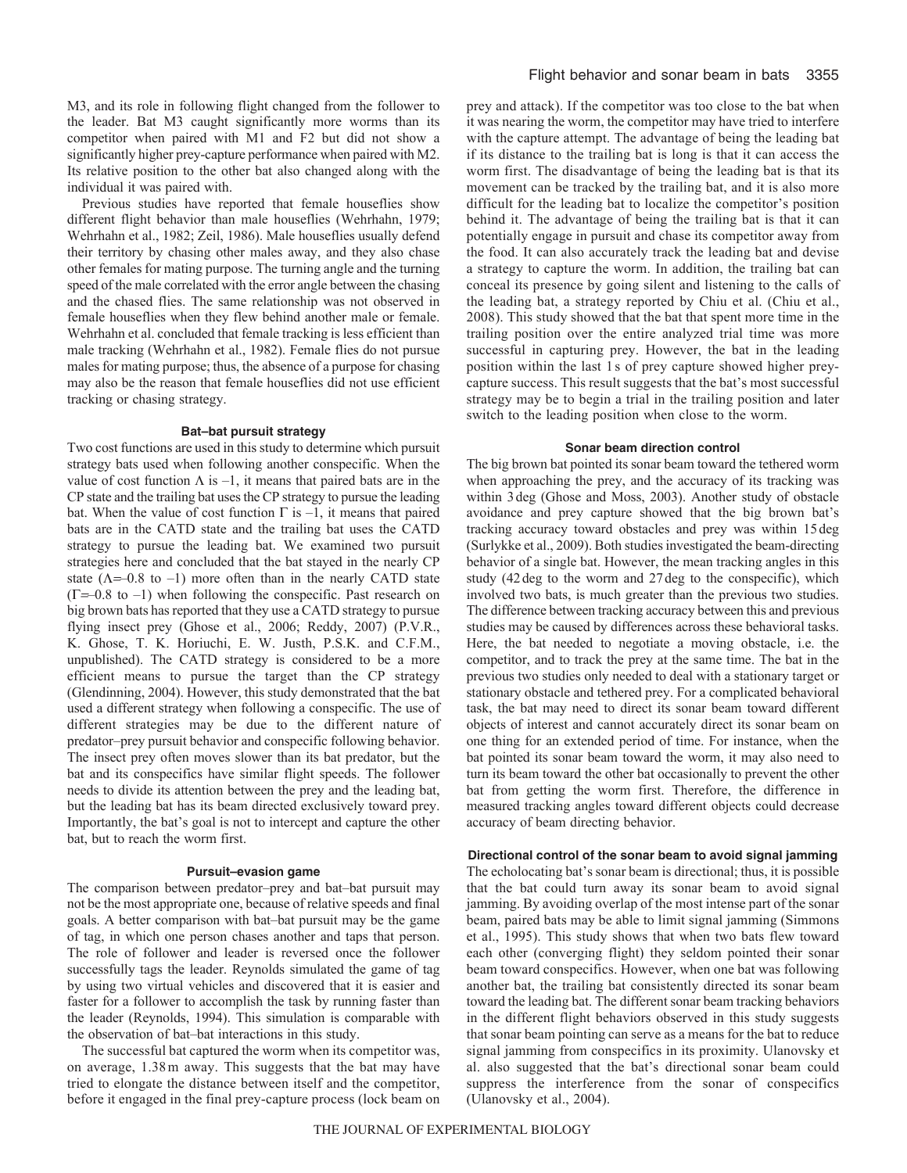M3, and its role in following flight changed from the follower to the leader. Bat M3 caught significantly more worms than its competitor when paired with M1 and F2 but did not show a significantly higher prey-capture performance when paired with M2. Its relative position to the other bat also changed along with the individual it was paired with.

Previous studies have reported that female houseflies show different flight behavior than male houseflies (Wehrhahn, 1979; Wehrhahn et al., 1982; Zeil, 1986). Male houseflies usually defend their territory by chasing other males away, and they also chase other females for mating purpose. The turning angle and the turning speed of the male correlated with the error angle between the chasing and the chased flies. The same relationship was not observed in female houseflies when they flew behind another male or female. Wehrhahn et al. concluded that female tracking is less efficient than male tracking (Wehrhahn et al., 1982). Female flies do not pursue males for mating purpose; thus, the absence of a purpose for chasing may also be the reason that female houseflies did not use efficient tracking or chasing strategy.

#### **Bat–bat pursuit strategy**

Two cost functions are used in this study to determine which pursuit strategy bats used when following another conspecific. When the value of cost function  $\Lambda$  is  $-1$ , it means that paired bats are in the CP state and the trailing bat uses the CP strategy to pursue the leading bat. When the value of cost function  $\Gamma$  is  $-1$ , it means that paired bats are in the CATD state and the trailing bat uses the CATD strategy to pursue the leading bat. We examined two pursuit strategies here and concluded that the bat stayed in the nearly CP state ( $\Lambda$ =-0.8 to -1) more often than in the nearly CATD state  $(\Gamma = 0.8 \text{ to } -1)$  when following the conspecific. Past research on big brown bats has reported that they use a CATD strategy to pursue flying insect prey (Ghose et al., 2006; Reddy, 2007) (P.V.R., K. Ghose, T. K. Horiuchi, E. W. Justh, P.S.K. and C.F.M., unpublished). The CATD strategy is considered to be a more efficient means to pursue the target than the CP strategy (Glendinning, 2004). However, this study demonstrated that the bat used a different strategy when following a conspecific. The use of different strategies may be due to the different nature of predator–prey pursuit behavior and conspecific following behavior. The insect prey often moves slower than its bat predator, but the bat and its conspecifics have similar flight speeds. The follower needs to divide its attention between the prey and the leading bat, but the leading bat has its beam directed exclusively toward prey. Importantly, the bat's goal is not to intercept and capture the other bat, but to reach the worm first.

## **Pursuit–evasion game**

The comparison between predator–prey and bat–bat pursuit may not be the most appropriate one, because of relative speeds and final goals. A better comparison with bat–bat pursuit may be the game of tag, in which one person chases another and taps that person. The role of follower and leader is reversed once the follower successfully tags the leader. Reynolds simulated the game of tag by using two virtual vehicles and discovered that it is easier and faster for a follower to accomplish the task by running faster than the leader (Reynolds, 1994). This simulation is comparable with the observation of bat–bat interactions in this study.

The successful bat captured the worm when its competitor was, on average, 1.38m away. This suggests that the bat may have tried to elongate the distance between itself and the competitor, before it engaged in the final prey-capture process (lock beam on prey and attack). If the competitor was too close to the bat when it was nearing the worm, the competitor may have tried to interfere with the capture attempt. The advantage of being the leading bat if its distance to the trailing bat is long is that it can access the worm first. The disadvantage of being the leading bat is that its movement can be tracked by the trailing bat, and it is also more difficult for the leading bat to localize the competitor's position behind it. The advantage of being the trailing bat is that it can potentially engage in pursuit and chase its competitor away from the food. It can also accurately track the leading bat and devise a strategy to capture the worm. In addition, the trailing bat can conceal its presence by going silent and listening to the calls of the leading bat, a strategy reported by Chiu et al. (Chiu et al., 2008). This study showed that the bat that spent more time in the trailing position over the entire analyzed trial time was more successful in capturing prey. However, the bat in the leading position within the last 1 s of prey capture showed higher preycapture success. This result suggests that the bat's most successful strategy may be to begin a trial in the trailing position and later switch to the leading position when close to the worm.

#### **Sonar beam direction control**

The big brown bat pointed its sonar beam toward the tethered worm when approaching the prey, and the accuracy of its tracking was within 3deg (Ghose and Moss, 2003). Another study of obstacle avoidance and prey capture showed that the big brown bat's tracking accuracy toward obstacles and prey was within 15deg (Surlykke et al., 2009). Both studies investigated the beam-directing behavior of a single bat. However, the mean tracking angles in this study (42deg to the worm and 27deg to the conspecific), which involved two bats, is much greater than the previous two studies. The difference between tracking accuracy between this and previous studies may be caused by differences across these behavioral tasks. Here, the bat needed to negotiate a moving obstacle, i.e. the competitor, and to track the prey at the same time. The bat in the previous two studies only needed to deal with a stationary target or stationary obstacle and tethered prey. For a complicated behavioral task, the bat may need to direct its sonar beam toward different objects of interest and cannot accurately direct its sonar beam on one thing for an extended period of time. For instance, when the bat pointed its sonar beam toward the worm, it may also need to turn its beam toward the other bat occasionally to prevent the other bat from getting the worm first. Therefore, the difference in measured tracking angles toward different objects could decrease accuracy of beam directing behavior.

#### **Directional control of the sonar beam to avoid signal jamming**

The echolocating bat's sonar beam is directional; thus, it is possible that the bat could turn away its sonar beam to avoid signal jamming. By avoiding overlap of the most intense part of the sonar beam, paired bats may be able to limit signal jamming (Simmons et al., 1995). This study shows that when two bats flew toward each other (converging flight) they seldom pointed their sonar beam toward conspecifics. However, when one bat was following another bat, the trailing bat consistently directed its sonar beam toward the leading bat. The different sonar beam tracking behaviors in the different flight behaviors observed in this study suggests that sonar beam pointing can serve as a means for the bat to reduce signal jamming from conspecifics in its proximity. Ulanovsky et al. also suggested that the bat's directional sonar beam could suppress the interference from the sonar of conspecifics (Ulanovsky et al., 2004).